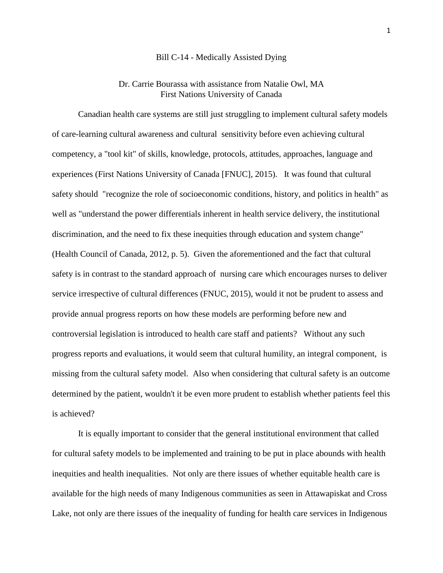## Bill C-14 - Medically Assisted Dying

## Dr. Carrie Bourassa with assistance from Natalie Owl, MA First Nations University of Canada

Canadian health care systems are still just struggling to implement cultural safety models of care-learning cultural awareness and cultural sensitivity before even achieving cultural competency, a "tool kit" of skills, knowledge, protocols, attitudes, approaches, language and experiences (First Nations University of Canada [FNUC], 2015). It was found that cultural safety should "recognize the role of socioeconomic conditions, history, and politics in health" as well as "understand the power differentials inherent in health service delivery, the institutional discrimination, and the need to fix these inequities through education and system change" (Health Council of Canada, 2012, p. 5). Given the aforementioned and the fact that cultural safety is in contrast to the standard approach of nursing care which encourages nurses to deliver service irrespective of cultural differences (FNUC, 2015), would it not be prudent to assess and provide annual progress reports on how these models are performing before new and controversial legislation is introduced to health care staff and patients? Without any such progress reports and evaluations, it would seem that cultural humility, an integral component, is missing from the cultural safety model. Also when considering that cultural safety is an outcome determined by the patient, wouldn't it be even more prudent to establish whether patients feel this is achieved?

It is equally important to consider that the general institutional environment that called for cultural safety models to be implemented and training to be put in place abounds with health inequities and health inequalities. Not only are there issues of whether equitable health care is available for the high needs of many Indigenous communities as seen in Attawapiskat and Cross Lake, not only are there issues of the inequality of funding for health care services in Indigenous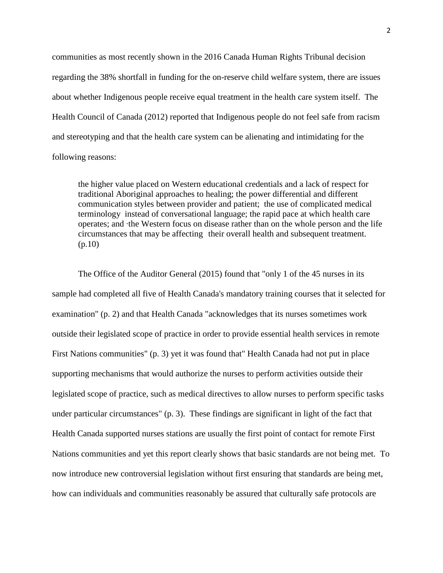communities as most recently shown in the 2016 Canada Human Rights Tribunal decision regarding the 38% shortfall in funding for the on-reserve child welfare system, there are issues about whether Indigenous people receive equal treatment in the health care system itself. The Health Council of Canada (2012) reported that Indigenous people do not feel safe from racism and stereotyping and that the health care system can be alienating and intimidating for the following reasons:

the higher value placed on Western educational credentials and a lack of respect for traditional Aboriginal approaches to healing; the power differential and different communication styles between provider and patient; the use of complicated medical terminology instead of conversational language; the rapid pace at which health care operates; and ∙the Western focus on disease rather than on the whole person and the life circumstances that may be affecting their overall health and subsequent treatment. (p.10)

The Office of the Auditor General (2015) found that "only 1 of the 45 nurses in its sample had completed all five of Health Canada's mandatory training courses that it selected for examination" (p. 2) and that Health Canada "acknowledges that its nurses sometimes work outside their legislated scope of practice in order to provide essential health services in remote First Nations communities" (p. 3) yet it was found that" Health Canada had not put in place supporting mechanisms that would authorize the nurses to perform activities outside their legislated scope of practice, such as medical directives to allow nurses to perform specific tasks under particular circumstances" (p. 3). These findings are significant in light of the fact that Health Canada supported nurses stations are usually the first point of contact for remote First Nations communities and yet this report clearly shows that basic standards are not being met. To now introduce new controversial legislation without first ensuring that standards are being met, how can individuals and communities reasonably be assured that culturally safe protocols are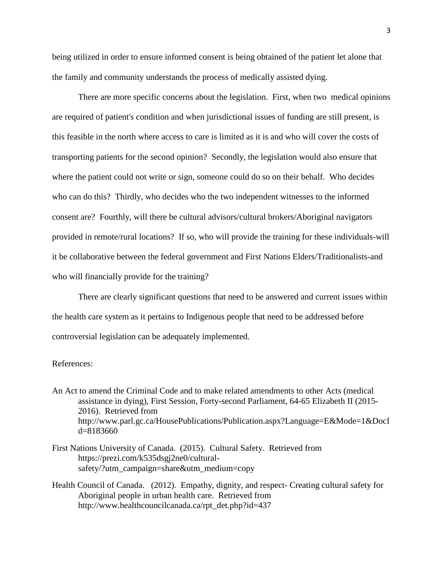being utilized in order to ensure informed consent is being obtained of the patient let alone that the family and community understands the process of medically assisted dying.

There are more specific concerns about the legislation. First, when two medical opinions are required of patient's condition and when jurisdictional issues of funding are still present, is this feasible in the north where access to care is limited as it is and who will cover the costs of transporting patients for the second opinion? Secondly, the legislation would also ensure that where the patient could not write or sign, someone could do so on their behalf. Who decides who can do this? Thirdly, who decides who the two independent witnesses to the informed consent are? Fourthly, will there be cultural advisors/cultural brokers/Aboriginal navigators provided in remote/rural locations? If so, who will provide the training for these individuals-will it be collaborative between the federal government and First Nations Elders/Traditionalists-and who will financially provide for the training?

There are clearly significant questions that need to be answered and current issues within the health care system as it pertains to Indigenous people that need to be addressed before controversial legislation can be adequately implemented.

## References:

An Act to amend the Criminal Code and to make related amendments to other Acts (medical assistance in dying), First Session, Forty-second Parliament, 64-65 Elizabeth II (2015- 2016). Retrieved from http://www.parl.gc.ca/HousePublications/Publication.aspx?Language=E&Mode=1&DocI d=8183660

- First Nations University of Canada. (2015). Cultural Safety. Retrieved from https://prezi.com/k535dsgj2ne0/culturalsafety/?utm\_campaign=share&utm\_medium=copy
- Health Council of Canada. (2012). Empathy, dignity, and respect- Creating cultural safety for Aboriginal people in urban health care. Retrieved from http://www.healthcouncilcanada.ca/rpt\_det.php?id=437